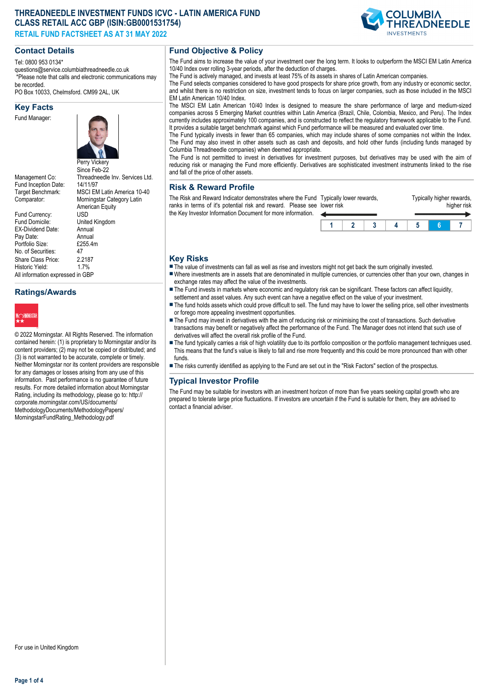# **THREADNEEDLE INVESTMENT FUNDS ICVC - LATIN AMERICA FUND CLASS RETAIL ACC GBP (ISIN:GB0001531754)**

**RETAIL FUND FACTSHEET AS AT 31 MAY 2022**

# **COLUMBIA READNEEDLE**

# **Contact Details**

Tel: 0800 953 0134\*

questions@service.columbiathreadneedle.co.uk \*Please note that calls and electronic communications may be recorded.

PO Box 10033, Chelmsford. CM99 2AL, UK

# **Key Facts**

Fund Manager:



Fund Inception Date:<br>Target Benchmark:

Fund Currency:<br>Fund Domicile: EX-Dividend Date: Annual<br>Pav Date: Annual Pay Date: Annual<br>Portfolio Size: \$255.4m Portfolio Size: £2<br>No. of Securities: 47 No. of Securities: Share Class Price: 2.2187<br>Historic Yield: 17% Historic Yield: All information expressed in GBP

# Since Feb-22 Management Co: Threadneedle Inv. Services Ltd.<br>Fund Incention Date: 14/11/97 MSCI EM Latin America 10-40 Comparator: Morningstar Category Latin American Equity<br>USD United Kingdom<br>Annual

# **Ratings/Awards**



© 2022 Morningstar. All Rights Reserved. The information contained herein: (1) is proprietary to Morningstar and/or its content providers; (2) may not be copied or distributed; and (3) is not warranted to be accurate, complete or timely. Neither Morningstar nor its content providers are responsible for any damages or losses arising from any use of this information. Past performance is no guarantee of future results. For more detailed information about Morningstar Rating, including its methodology, please go to: http:// corporate.morningstar.com/US/documents/ MethodologyDocuments/MethodologyPapers/ MorningstarFundRating\_Methodology.pdf

# **Fund Objective & Policy**

The Fund aims to increase the value of your investment over the long term. It looks to outperform the MSCI EM Latin America 10/40 Index over rolling 3-year periods, after the deduction of charges.

The Fund is actively managed, and invests at least 75% of its assets in shares of Latin American companies.

The Fund selects companies considered to have good prospects for share price growth, from any industry or economic sector, and whilst there is no restriction on size, investment tends to focus on larger companies, such as those included in the MSCI EM Latin American 10/40 Index.

The MSCI EM Latin American 10/40 Index is designed to measure the share performance of large and medium-sized companies across 5 Emerging Market countries within Latin America (Brazil, Chile, Colombia, Mexico, and Peru). The Index currently includes approximately 100 companies, and is constructed to reflect the regulatory framework applicable to the Fund. It provides a suitable target benchmark against which Fund performance will be measured and evaluated over time.

The Fund typically invests in fewer than 65 companies, which may include shares of some companies not within the Index. The Fund may also invest in other assets such as cash and deposits, and hold other funds (including funds managed by Columbia Threadneedle companies) when deemed appropriate.

The Fund is not permitted to invest in derivatives for investment purposes, but derivatives may be used with the aim of reducing risk or managing the Fund more efficiently. Derivatives are sophisticated investment instruments linked to the rise and fall of the price of other assets.

#### **Risk & Reward Profile**

The Risk and Reward Indicator demonstrates where the Fund Typically lower rewards, ranks in terms of it's potential risk and reward. Please see lower risk the Key Investor Information Document for more information.



Typically higher rewards,

## **Key Risks**

- $\blacksquare$  The value of investments can fall as well as rise and investors might not get back the sum originally invested.
- nWhere investments are in assets that are denominated in multiple currencies, or currencies other than your own, changes in exchange rates may affect the value of the investments.
- The Fund invests in markets where economic and regulatory risk can be significant. These factors can affect liquidity, settlement and asset values. Any such event can have a negative effect on the value of your investment.
- The fund holds assets which could prove difficult to sell. The fund may have to lower the selling price, sell other investments or forego more appealing investment opportunities.
- The Fund may invest in derivatives with the aim of reducing risk or minimising the cost of transactions. Such derivative transactions may benefit or negatively affect the performance of the Fund. The Manager does not intend that such use of derivatives will affect the overall risk profile of the Fund.
- n The fund typically carries a risk of high volatility due to its portfolio composition or the portfolio management techniques used. This means that the fund's value is likely to fall and rise more frequently and this could be more pronounced than with other funds
- n The risks currently identified as applying to the Fund are set out in the "Risk Factors" section of the prospectus.

## **Typical Investor Profile**

The Fund may be suitable for investors with an investment horizon of more than five years seeking capital growth who are prepared to tolerate large price fluctuations. If investors are uncertain if the Fund is suitable for them, they are advised to contact a financial adviser.

For use in United Kingdom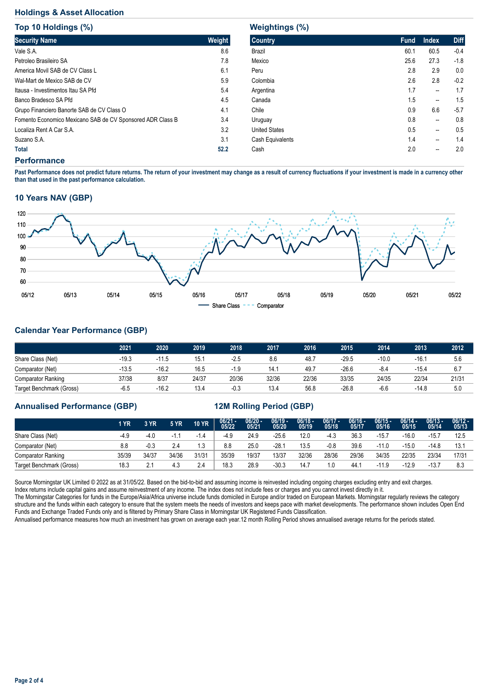#### **Holdings & Asset Allocation**

| Top 10 Holdings (%)                                        |        |
|------------------------------------------------------------|--------|
| <b>Security Name</b>                                       | Weight |
| Vale S.A.                                                  | 8.6    |
| Petroleo Brasileiro SA                                     | 7.8    |
| America Movil SAB de CV Class L                            | 6.1    |
| Wal-Mart de Mexico SAB de CV                               | 5.9    |
| Itausa - Investimentos Itau SA Pfd                         | 5.4    |
| Banco Bradesco SA Pfd                                      | 4.5    |
| Grupo Financiero Banorte SAB de CV Class O                 | 4.1    |
| Fomento Economico Mexicano SAB de CV Sponsored ADR Class B | 3.4    |
| Localiza Rent A Car S.A.                                   | 3.2    |
| Suzano S.A.                                                | 3.1    |
| Total                                                      | 52.2   |

## **Weightings (%)**

| <b>Country</b>       | <b>Fund</b> | <b>Index</b>   | <b>Diff</b> |
|----------------------|-------------|----------------|-------------|
| Brazil               | 60.1        | 60.5           | $-0.4$      |
| Mexico               | 25.6        | 27.3           | $-1.8$      |
| Peru                 | 2.8         | 2.9            | 0.0         |
| Colombia             | 2.6         | 2.8            | $-0.2$      |
| Argentina            | 1.7         | --             | 1.7         |
| Canada               | 1.5         | --             | 1.5         |
| Chile                | 0.9         | 6.6            | $-5.7$      |
| Uruguay              | 0.8         | $\overline{a}$ | 0.8         |
| <b>United States</b> | 0.5         | --             | 0.5         |
| Cash Equivalents     | 1.4         | --             | 1.4         |
| Cash                 | 2.0         | --             | 2.0         |
|                      |             |                |             |

#### **Performance**

**Past Performance does not predict future returns. The return of your investment may change as a result of currency fluctuations if your investment is made in a currency other than that used in the past performance calculation.** 

#### **10 Years NAV (GBP)**



# **Calendar Year Performance (GBP)**

|                           | 2021    | 2020    | 2019  | 2018   | 2017  | 2016  | 2015    | 2014    | 2013    | 2012  |
|---------------------------|---------|---------|-------|--------|-------|-------|---------|---------|---------|-------|
| Share Class (Net)         | $-19.3$ | $-11.5$ | 15.1  | $-2.5$ | 8.6   | 48.7  | -29.5   | $-10.0$ | $-16.1$ | 5.6   |
| Comparator (Net)          | $-13.5$ | $-16.2$ | 16.5  | $-1.9$ | 14.7  | 49.7  | -26.6   | $-8.4$  | $-15.4$ | 6.7   |
| <b>Comparator Ranking</b> | 37/38   | 8/37    | 24/37 | 20/36  | 32/36 | 22/36 | 33/35   | 24/35   | 22/34   | 21/31 |
| Target Benchmark (Gross)  | $-6.5$  | $-16.2$ | 13.4  | $-0.3$ | 13.4  | 56.8  | $-26.8$ | $-6.6$  | $-14.8$ | 5.0   |

## **Annualised Performance (GBP) 12M Rolling Period (GBP)**

|                           | 1 YR  | 3 YR   | <b>5 YR</b> | <b>10 YR</b> | $06/21 - 05/22$ | $06/20 -$<br>05/21 | $06/19 -$<br>05/20 | $06/18 -$<br>05/19 | $06/17 -$<br>05/18 | $06/16 -$<br>05/17 | $06/15 -$<br>05/16 | $06/14 -$<br>05/15 | $06/13 -$<br>05/14 | $06/12 -$<br>05/13 |
|---------------------------|-------|--------|-------------|--------------|-----------------|--------------------|--------------------|--------------------|--------------------|--------------------|--------------------|--------------------|--------------------|--------------------|
| Share Class (Net)         | -4.9  | $-4.0$ | $-1′$       | $-1.4$       | $-4.9$          | 24.9               | $-25.6$            | 12.0               | -4.3               | 36.3               | $-15.7$            | $-16.0$            | $-15.7$            | 12.5               |
| Comparator (Net)          | 8.8   | $-0.3$ | 2.4         | l.3          | 8.8             | 25.0               | $-28.7$            | 13.5               | $-0.8$             | 39.6               | $-11.0$            | $-15.0$            | $-14.8$            | 13.1               |
| <b>Comparator Ranking</b> | 35/39 | 34/37  | 34/36       | 31/31        | 35/39           | 19/37              | 13/37              | 32/36              | 28/36              | 29/36              | 34/35              | 22/35              | 23/34              | 17/31              |
| Target Benchmark (Gross)  | 18.3  | 2.1    | 4.3         | 2.4          | 18.3            | 28.9               | $-30.3$            | 14.7               | 1.0                | 44.                | $-11.9$            | $-12.9$            | $-13.7$            | 8.3                |

Source Morningstar UK Limited © 2022 as at 31/05/22. Based on the bid-to-bid and assuming income is reinvested including ongoing charges excluding entry and exit charges. Index returns include capital gains and assume reinvestment of any income. The index does not include fees or charges and you cannot invest directly in it.

The Morningstar Categories for funds in the Europe/Asia/Africa universe include funds domiciled in Europe and/or traded on European Markets. Morningstar regularly reviews the category structure and the funds within each category to ensure that the system meets the needs of investors and keeps pace with market developments. The performance shown includes Open End Funds and Exchange Traded Funds only and is filtered by Primary Share Class in Morningstar UK Registered Funds Classification.

Annualised performance measures how much an investment has grown on average each year.12 month Rolling Period shows annualised average returns for the periods stated.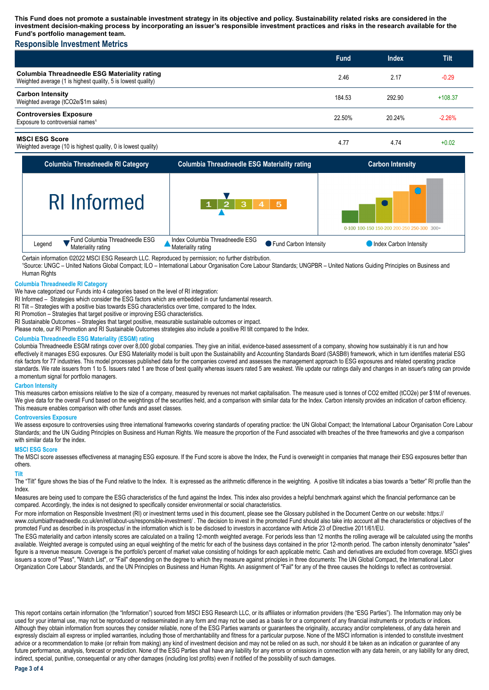**This Fund does not promote a sustainable investment strategy in its objective and policy. Sustainability related risks are considered in the investment decision-making process by incorporating an issuer's responsible investment practices and risks in the research available for the Fund's portfolio management team.**

## **Responsible Investment Metrics**

|                                                                                                                     | <b>Fund</b> | <b>Index</b> | Tilt      |
|---------------------------------------------------------------------------------------------------------------------|-------------|--------------|-----------|
| <b>Columbia Threadneedle ESG Materiality rating</b><br>Weighted average (1 is highest quality, 5 is lowest quality) | 2.46        | 2.17         | $-0.29$   |
| <b>Carbon Intensity</b><br>Weighted average (tCO2e/\$1m sales)                                                      | 184.53      | 292.90       | $+108.37$ |
| <b>Controversies Exposure</b><br>Exposure to controversial names <sup>1</sup>                                       | 22.50%      | 20.24%       | $-2.26%$  |
| <b>MSCI ESG Score</b><br>Weighted average (10 is highest quality, 0 is lowest quality)                              | 4.77        | 4.74         | $+0.02$   |



Certain information ©2022 MSCI ESG Research LLC. Reproduced by permission; no further distribution.

<sup>1</sup>Source: UNGC – United Nations Global Compact; ILO – International Labour Organisation Core Labour Standards; UNGPBR – United Nations Guiding Principles on Business and Human Rights

#### **Columbia Threadneedle RI Category**

We have categorized our Funds into 4 categories based on the level of RI integration:

RI Informed – Strategies which consider the ESG factors which are embedded in our fundamental research.

RI Tilt – Strategies with a positive bias towards ESG characteristics over time, compared to the Index.

RI Promotion – Strategies that target positive or improving ESG characteristics.

RI Sustainable Outcomes – Strategies that target positive, measurable sustainable outcomes or impact.

Please note, our RI Promotion and RI Sustainable Outcomes strategies also include a positive RI tilt compared to the Index.

#### **Columbia Threadneedle ESG Materiality (ESGM) rating**

Columbia Threadneedle ESGM ratings cover over 8,000 global companies. They give an initial, evidence-based assessment of a company, showing how sustainably it is run and how effectively it manages ESG exposures. Our ESG Materiality model is built upon the Sustainability and Accounting Standards Board (SASB®) framework, which in turn identifies material ESG risk factors for 77 industries. This model processes published data for the companies covered and assesses the management approach to ESG exposures and related operating practice standards. We rate issuers from 1 to 5. Issuers rated 1 are those of best quality whereas issuers rated 5 are weakest. We update our ratings daily and changes in an issuer's rating can provide a momentum signal for portfolio managers.

#### **Carbon Intensity**

This measures carbon emissions relative to the size of a company, measured by revenues not market capitalisation. The measure used is tonnes of CO2 emitted (tCO2e) per \$1M of revenues. We give data for the overall Fund based on the weightings of the securities held, and a comparison with similar data for the Index. Carbon intensity provides an indication of carbon efficiency. This measure enables comparison with other funds and asset classes.

#### **Controversies Exposure**

We assess exposure to controversies using three international frameworks covering standards of operating practice: the UN Global Compact; the International Labour Organisation Core Labour Standards; and the UN Guiding Principles on Business and Human Rights. We measure the proportion of the Fund associated with breaches of the three frameworks and give a comparison with similar data for the index.

#### **MSCI ESG Score**

The MSCI score assesses effectiveness at managing ESG exposure. If the Fund score is above the Index, the Fund is overweight in companies that manage their ESG exposures better than others.

#### **Tilt**

The "Tilt" figure shows the bias of the Fund relative to the Index. It is expressed as the arithmetic difference in the weighting. A positive tilt indicates a bias towards a "better" RI profile than the Index.

Measures are being used to compare the ESG characteristics of the fund against the Index. This index also provides a helpful benchmark against which the financial performance can be compared. Accordingly, the index is not designed to specifically consider environmental or social characteristics.

For more information on Responsible Investment (RI) or investment terms used in this document, please see the Glossary published in the Document Centre on our website: https:// www.columbiathreadneedle.co.uk/en/retl/about-us/responsible-investment/ . The decision to invest in the promoted Fund should also take into account all the characteristics or objectives of the promoted Fund as described in its prospectus/ in the information which is to be disclosed to investors in accordance with Article 23 of Directive 2011/61/EU.

The ESG materiality and carbon intensity scores are calculated on a trailing 12-month weighted average. For periods less than 12 months the rolling average will be calculated using the months available. Weighted average is computed using an equal weighting of the metric for each of the business days contained in the prior 12-month period. The carbon intensity denominator "sales" figure is a revenue measure. Coverage is the portfolio's percent of market value consisting of holdings for each applicable metric. Cash and derivatives are excluded from coverage. MSCI gives issuers a score of "Pass", "Watch List", or "Fail" depending on the degree to which they measure against principles in three documents: The UN Global Compact, the International Labor Organization Core Labour Standards, and the UN Principles on Business and Human Rights. An assignment of "Fail" for any of the three causes the holdings to reflect as controversial.

This report contains certain information (the "Information") sourced from MSCI ESG Research LLC, or its affiliates or information providers (the "ESG Parties"). The Information may only be used for your internal use, may not be reproduced or redisseminated in any form and may not be used as a basis for or a component of any financial instruments or products or indices. Although they obtain information from sources they consider reliable, none of the ESG Parties warrants or guarantees the originality, accuracy and/or completeness, of any data herein and expressly disclaim all express or implied warranties, including those of merchantability and fitness for a particular purpose. None of the MSCI information is intended to constitute investment advice or a recommendation to make (or refrain from making) any kind of investment decision and may not be relied on as such, nor should it be taken as an indication or guarantee of any future performance, analysis, forecast or prediction. None of the ESG Parties shall have any liability for any errors or omissions in connection with any data herein, or any liability for any direct, indirect, special, punitive, consequential or any other damages (including lost profits) even if notified of the possibility of such damages.